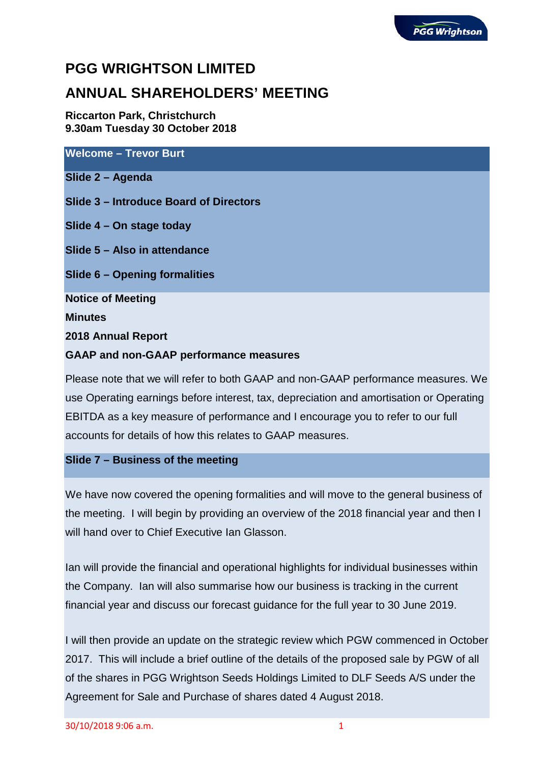# **PGG WRIGHTSON LIMITED**

# **ANNUAL SHAREHOLDERS' MEETING**

**Riccarton Park, Christchurch 9.30am Tuesday 30 October 2018**

**Welcome – Trevor Burt**

**Slide 2 – Agenda**

**Slide 3 – Introduce Board of Directors**

**Slide 4 – On stage today**

**Slide 5 – Also in attendance**

**Slide 6 – Opening formalities**

**Notice of Meeting**

**Minutes**

**2018 Annual Report**

# **GAAP and non-GAAP performance measures**

Please note that we will refer to both GAAP and non-GAAP performance measures. We use Operating earnings before interest, tax, depreciation and amortisation or Operating EBITDA as a key measure of performance and I encourage you to refer to our full accounts for details of how this relates to GAAP measures.

# **Slide 7 – Business of the meeting**

We have now covered the opening formalities and will move to the general business of the meeting. I will begin by providing an overview of the 2018 financial year and then I will hand over to Chief Executive Ian Glasson.

Ian will provide the financial and operational highlights for individual businesses within the Company. Ian will also summarise how our business is tracking in the current financial year and discuss our forecast guidance for the full year to 30 June 2019.

I will then provide an update on the strategic review which PGW commenced in October 2017. This will include a brief outline of the details of the proposed sale by PGW of all of the shares in PGG Wrightson Seeds Holdings Limited to DLF Seeds A/S under the Agreement for Sale and Purchase of shares dated 4 August 2018.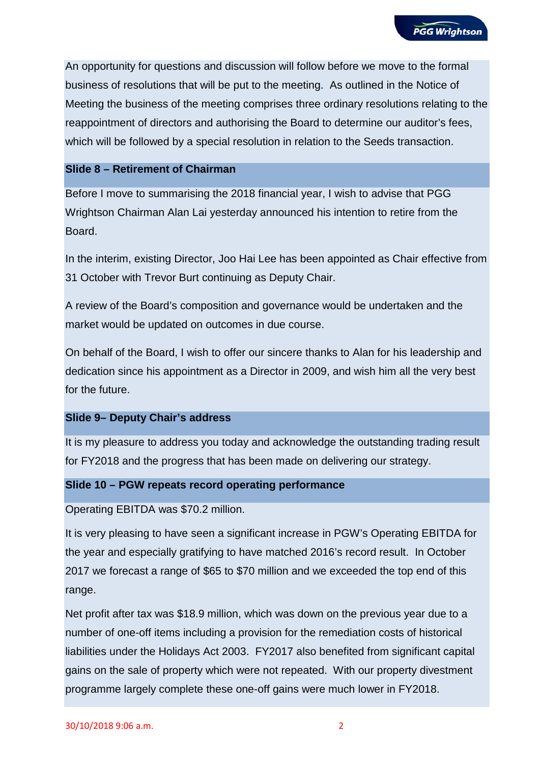An opportunity for questions and discussion will follow before we move to the formal business of resolutions that will be put to the meeting. As outlined in the Notice of Meeting the business of the meeting comprises three ordinary resolutions relating to the reappointment of directors and authorising the Board to determine our auditor's fees, which will be followed by a special resolution in relation to the Seeds transaction.

## **Slide 8 – Retirement of Chairman**

Before I move to summarising the 2018 financial year, I wish to advise that PGG Wrightson Chairman Alan Lai yesterday announced his intention to retire from the Board.

In the interim, existing Director, Joo Hai Lee has been appointed as Chair effective from 31 October with Trevor Burt continuing as Deputy Chair.

A review of the Board's composition and governance would be undertaken and the market would be updated on outcomes in due course.

On behalf of the Board, I wish to offer our sincere thanks to Alan for his leadership and dedication since his appointment as a Director in 2009, and wish him all the very best for the future.

#### **Slide 9– Deputy Chair's address**

It is my pleasure to address you today and acknowledge the outstanding trading result for FY2018 and the progress that has been made on delivering our strategy.

## **Slide 10 – PGW repeats record operating performance**

Operating EBITDA was \$70.2 million.

It is very pleasing to have seen a significant increase in PGW's Operating EBITDA for the year and especially gratifying to have matched 2016's record result. In October 2017 we forecast a range of \$65 to \$70 million and we exceeded the top end of this range.

Net profit after tax was \$18.9 million, which was down on the previous year due to a number of one-off items including a provision for the remediation costs of historical liabilities under the Holidays Act 2003. FY2017 also benefited from significant capital gains on the sale of property which were not repeated. With our property divestment programme largely complete these one-off gains were much lower in FY2018.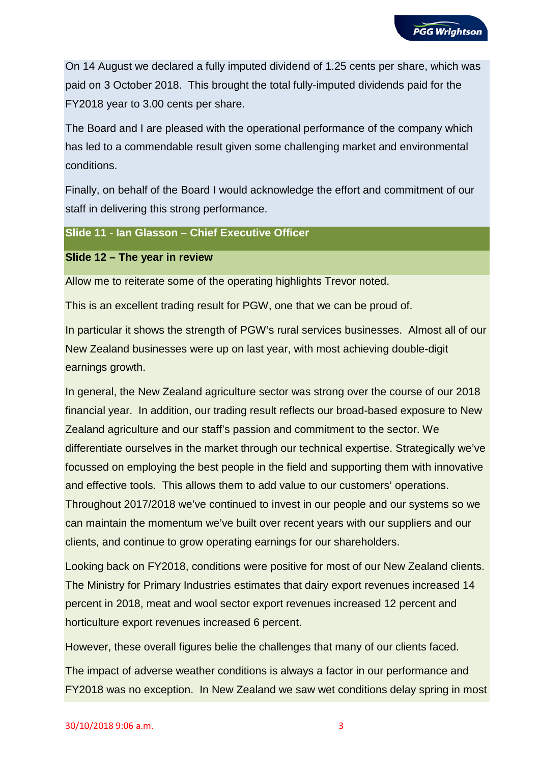On 14 August we declared a fully imputed dividend of 1.25 cents per share, which was paid on 3 October 2018. This brought the total fully-imputed dividends paid for the FY2018 year to 3.00 cents per share.

The Board and I are pleased with the operational performance of the company which has led to a commendable result given some challenging market and environmental conditions.

Finally, on behalf of the Board I would acknowledge the effort and commitment of our staff in delivering this strong performance.

## **Slide 11 - Ian Glasson – Chief Executive Officer**

#### **Slide 12 – The year in review**

Allow me to reiterate some of the operating highlights Trevor noted.

This is an excellent trading result for PGW, one that we can be proud of.

In particular it shows the strength of PGW's rural services businesses. Almost all of our New Zealand businesses were up on last year, with most achieving double-digit earnings growth.

In general, the New Zealand agriculture sector was strong over the course of our 2018 financial year. In addition, our trading result reflects our broad-based exposure to New Zealand agriculture and our staff's passion and commitment to the sector. We differentiate ourselves in the market through our technical expertise. Strategically we've focussed on employing the best people in the field and supporting them with innovative and effective tools. This allows them to add value to our customers' operations. Throughout 2017/2018 we've continued to invest in our people and our systems so we

can maintain the momentum we've built over recent years with our suppliers and our clients, and continue to grow operating earnings for our shareholders.

Looking back on FY2018, conditions were positive for most of our New Zealand clients. The Ministry for Primary Industries estimates that dairy export revenues increased 14 percent in 2018, meat and wool sector export revenues increased 12 percent and horticulture export revenues increased 6 percent.

However, these overall figures belie the challenges that many of our clients faced.

The impact of adverse weather conditions is always a factor in our performance and FY2018 was no exception. In New Zealand we saw wet conditions delay spring in most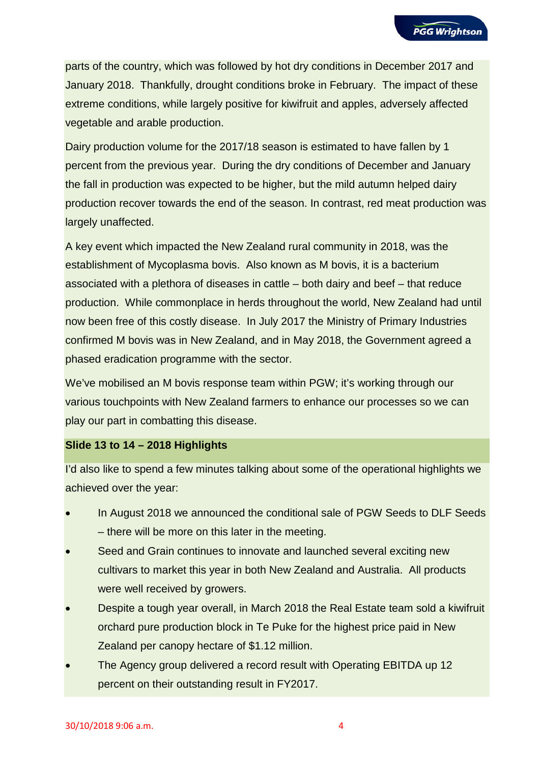parts of the country, which was followed by hot dry conditions in December 2017 and January 2018. Thankfully, drought conditions broke in February. The impact of these extreme conditions, while largely positive for kiwifruit and apples, adversely affected vegetable and arable production.

Dairy production volume for the 2017/18 season is estimated to have fallen by 1 percent from the previous year. During the dry conditions of December and January the fall in production was expected to be higher, but the mild autumn helped dairy production recover towards the end of the season. In contrast, red meat production was largely unaffected.

A key event which impacted the New Zealand rural community in 2018, was the establishment of Mycoplasma bovis. Also known as M bovis, it is a bacterium associated with a plethora of diseases in cattle – both dairy and beef – that reduce production. While commonplace in herds throughout the world, New Zealand had until now been free of this costly disease. In July 2017 the Ministry of Primary Industries confirmed M bovis was in New Zealand, and in May 2018, the Government agreed a phased eradication programme with the sector.

We've mobilised an M bovis response team within PGW; it's working through our various touchpoints with New Zealand farmers to enhance our processes so we can play our part in combatting this disease.

# **Slide 13 to 14 – 2018 Highlights**

I'd also like to spend a few minutes talking about some of the operational highlights we achieved over the year:

- In August 2018 we announced the conditional sale of PGW Seeds to DLF Seeds – there will be more on this later in the meeting.
- Seed and Grain continues to innovate and launched several exciting new cultivars to market this year in both New Zealand and Australia. All products were well received by growers.
- Despite a tough year overall, in March 2018 the Real Estate team sold a kiwifruit orchard pure production block in Te Puke for the highest price paid in New Zealand per canopy hectare of \$1.12 million.
- The Agency group delivered a record result with Operating EBITDA up 12 percent on their outstanding result in FY2017.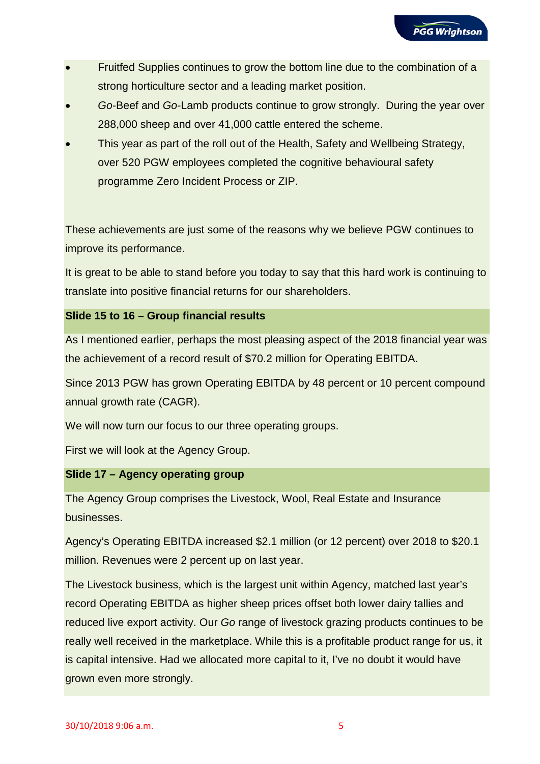- Fruitfed Supplies continues to grow the bottom line due to the combination of a strong horticulture sector and a leading market position.
- *Go*-Beef and *Go*-Lamb products continue to grow strongly. During the year over 288,000 sheep and over 41,000 cattle entered the scheme.
- This year as part of the roll out of the Health, Safety and Wellbeing Strategy, over 520 PGW employees completed the cognitive behavioural safety programme Zero Incident Process or ZIP.

These achievements are just some of the reasons why we believe PGW continues to improve its performance.

It is great to be able to stand before you today to say that this hard work is continuing to translate into positive financial returns for our shareholders.

# **Slide 15 to 16 – Group financial results**

As I mentioned earlier, perhaps the most pleasing aspect of the 2018 financial year was the achievement of a record result of \$70.2 million for Operating EBITDA.

Since 2013 PGW has grown Operating EBITDA by 48 percent or 10 percent compound annual growth rate (CAGR).

We will now turn our focus to our three operating groups.

First we will look at the Agency Group.

# **Slide 17 – Agency operating group**

The Agency Group comprises the Livestock, Wool, Real Estate and Insurance businesses.

Agency's Operating EBITDA increased \$2.1 million (or 12 percent) over 2018 to \$20.1 million. Revenues were 2 percent up on last year.

The Livestock business, which is the largest unit within Agency, matched last year's record Operating EBITDA as higher sheep prices offset both lower dairy tallies and reduced live export activity. Our *Go* range of livestock grazing products continues to be really well received in the marketplace. While this is a profitable product range for us, it is capital intensive. Had we allocated more capital to it, I've no doubt it would have grown even more strongly.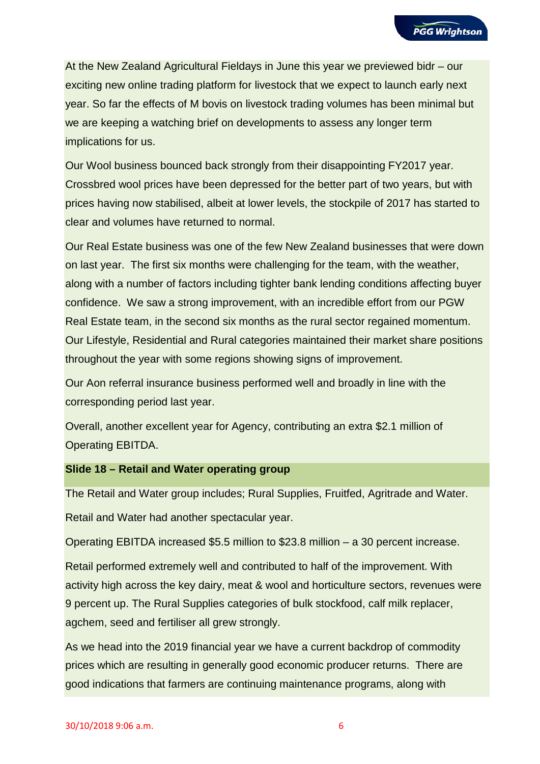At the New Zealand Agricultural Fieldays in June this year we previewed bidr – our exciting new online trading platform for livestock that we expect to launch early next year. So far the effects of M bovis on livestock trading volumes has been minimal but we are keeping a watching brief on developments to assess any longer term implications for us.

Our Wool business bounced back strongly from their disappointing FY2017 year. Crossbred wool prices have been depressed for the better part of two years, but with prices having now stabilised, albeit at lower levels, the stockpile of 2017 has started to clear and volumes have returned to normal.

Our Real Estate business was one of the few New Zealand businesses that were down on last year. The first six months were challenging for the team, with the weather, along with a number of factors including tighter bank lending conditions affecting buyer confidence. We saw a strong improvement, with an incredible effort from our PGW Real Estate team, in the second six months as the rural sector regained momentum. Our Lifestyle, Residential and Rural categories maintained their market share positions throughout the year with some regions showing signs of improvement.

Our Aon referral insurance business performed well and broadly in line with the corresponding period last year.

Overall, another excellent year for Agency, contributing an extra \$2.1 million of Operating EBITDA.

#### **Slide 18 – Retail and Water operating group**

The Retail and Water group includes; Rural Supplies, Fruitfed, Agritrade and Water.

Retail and Water had another spectacular year.

Operating EBITDA increased \$5.5 million to \$23.8 million – a 30 percent increase.

Retail performed extremely well and contributed to half of the improvement. With activity high across the key dairy, meat & wool and horticulture sectors, revenues were 9 percent up. The Rural Supplies categories of bulk stockfood, calf milk replacer, agchem, seed and fertiliser all grew strongly.

As we head into the 2019 financial year we have a current backdrop of commodity prices which are resulting in generally good economic producer returns. There are good indications that farmers are continuing maintenance programs, along with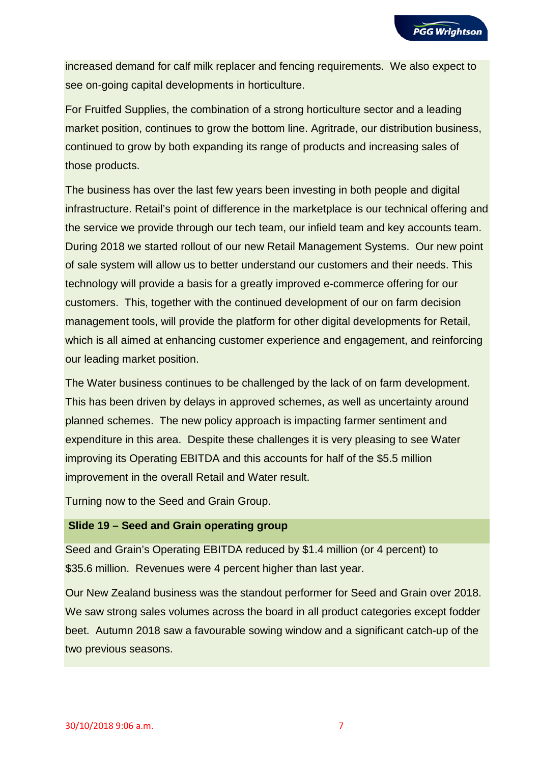increased demand for calf milk replacer and fencing requirements. We also expect to see on-going capital developments in horticulture.

For Fruitfed Supplies, the combination of a strong horticulture sector and a leading market position, continues to grow the bottom line. Agritrade, our distribution business, continued to grow by both expanding its range of products and increasing sales of those products.

The business has over the last few years been investing in both people and digital infrastructure. Retail's point of difference in the marketplace is our technical offering and the service we provide through our tech team, our infield team and key accounts team. During 2018 we started rollout of our new Retail Management Systems. Our new point of sale system will allow us to better understand our customers and their needs. This technology will provide a basis for a greatly improved e-commerce offering for our customers. This, together with the continued development of our on farm decision management tools, will provide the platform for other digital developments for Retail, which is all aimed at enhancing customer experience and engagement, and reinforcing our leading market position.

The Water business continues to be challenged by the lack of on farm development. This has been driven by delays in approved schemes, as well as uncertainty around planned schemes. The new policy approach is impacting farmer sentiment and expenditure in this area. Despite these challenges it is very pleasing to see Water improving its Operating EBITDA and this accounts for half of the \$5.5 million improvement in the overall Retail and Water result.

Turning now to the Seed and Grain Group.

#### **Slide 19 – Seed and Grain operating group**

Seed and Grain's Operating EBITDA reduced by \$1.4 million (or 4 percent) to \$35.6 million. Revenues were 4 percent higher than last year.

Our New Zealand business was the standout performer for Seed and Grain over 2018. We saw strong sales volumes across the board in all product categories except fodder beet. Autumn 2018 saw a favourable sowing window and a significant catch-up of the two previous seasons.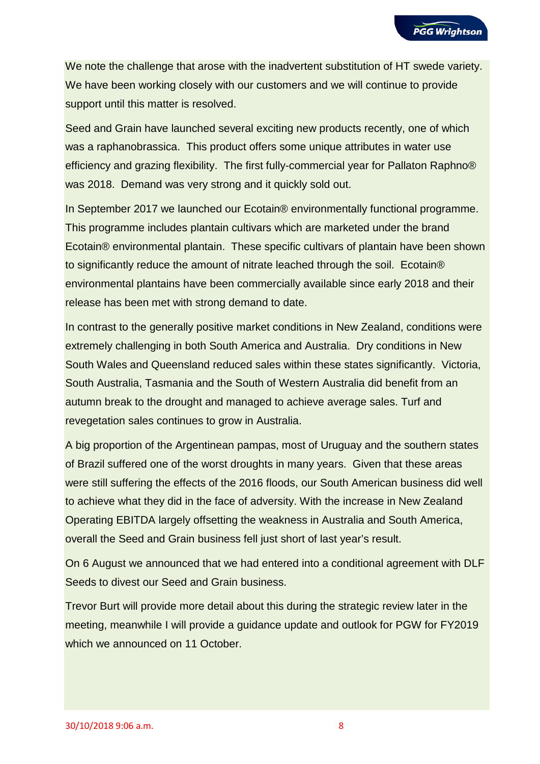We note the challenge that arose with the inadvertent substitution of HT swede variety. We have been working closely with our customers and we will continue to provide support until this matter is resolved.

Seed and Grain have launched several exciting new products recently, one of which was a raphanobrassica. This product offers some unique attributes in water use efficiency and grazing flexibility. The first fully-commercial year for Pallaton Raphno® was 2018. Demand was very strong and it quickly sold out.

In September 2017 we launched our Ecotain® environmentally functional programme. This programme includes plantain cultivars which are marketed under the brand Ecotain® environmental plantain. These specific cultivars of plantain have been shown to significantly reduce the amount of nitrate leached through the soil. Ecotain® environmental plantains have been commercially available since early 2018 and their release has been met with strong demand to date.

In contrast to the generally positive market conditions in New Zealand, conditions were extremely challenging in both South America and Australia. Dry conditions in New South Wales and Queensland reduced sales within these states significantly. Victoria, South Australia, Tasmania and the South of Western Australia did benefit from an autumn break to the drought and managed to achieve average sales. Turf and revegetation sales continues to grow in Australia.

A big proportion of the Argentinean pampas, most of Uruguay and the southern states of Brazil suffered one of the worst droughts in many years. Given that these areas were still suffering the effects of the 2016 floods, our South American business did well to achieve what they did in the face of adversity. With the increase in New Zealand Operating EBITDA largely offsetting the weakness in Australia and South America, overall the Seed and Grain business fell just short of last year's result.

On 6 August we announced that we had entered into a conditional agreement with DLF Seeds to divest our Seed and Grain business.

Trevor Burt will provide more detail about this during the strategic review later in the meeting, meanwhile I will provide a guidance update and outlook for PGW for FY2019 which we announced on 11 October.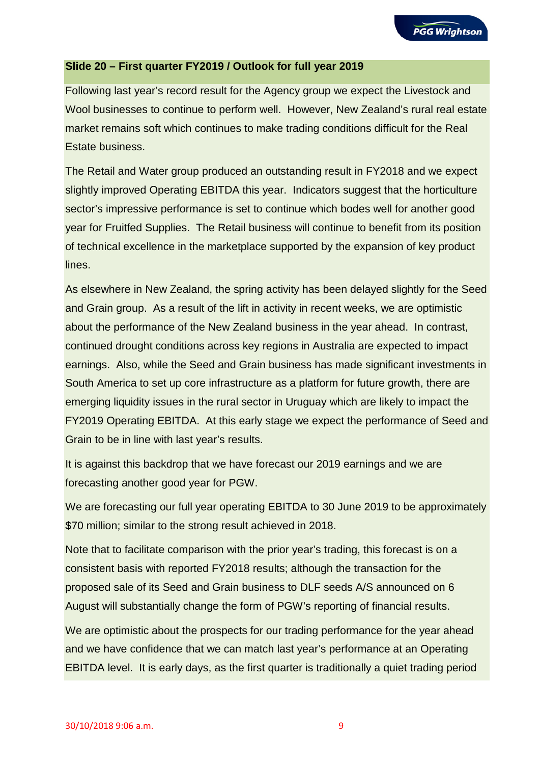## **Slide 20 – First quarter FY2019 / Outlook for full year 2019**

Following last year's record result for the Agency group we expect the Livestock and Wool businesses to continue to perform well. However, New Zealand's rural real estate market remains soft which continues to make trading conditions difficult for the Real Estate business.

The Retail and Water group produced an outstanding result in FY2018 and we expect slightly improved Operating EBITDA this year. Indicators suggest that the horticulture sector's impressive performance is set to continue which bodes well for another good year for Fruitfed Supplies. The Retail business will continue to benefit from its position of technical excellence in the marketplace supported by the expansion of key product lines.

As elsewhere in New Zealand, the spring activity has been delayed slightly for the Seed and Grain group. As a result of the lift in activity in recent weeks, we are optimistic about the performance of the New Zealand business in the year ahead. In contrast, continued drought conditions across key regions in Australia are expected to impact earnings. Also, while the Seed and Grain business has made significant investments in South America to set up core infrastructure as a platform for future growth, there are emerging liquidity issues in the rural sector in Uruguay which are likely to impact the FY2019 Operating EBITDA. At this early stage we expect the performance of Seed and Grain to be in line with last year's results.

It is against this backdrop that we have forecast our 2019 earnings and we are forecasting another good year for PGW.

We are forecasting our full year operating EBITDA to 30 June 2019 to be approximately \$70 million; similar to the strong result achieved in 2018.

Note that to facilitate comparison with the prior year's trading, this forecast is on a consistent basis with reported FY2018 results; although the transaction for the proposed sale of its Seed and Grain business to DLF seeds A/S announced on 6 August will substantially change the form of PGW's reporting of financial results.

We are optimistic about the prospects for our trading performance for the year ahead and we have confidence that we can match last year's performance at an Operating EBITDA level. It is early days, as the first quarter is traditionally a quiet trading period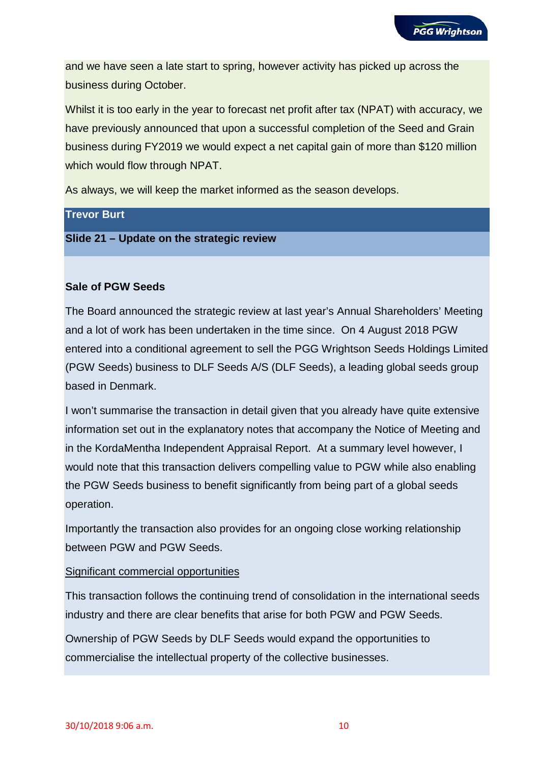and we have seen a late start to spring, however activity has picked up across the business during October.

Whilst it is too early in the year to forecast net profit after tax (NPAT) with accuracy, we have previously announced that upon a successful completion of the Seed and Grain business during FY2019 we would expect a net capital gain of more than \$120 million which would flow through NPAT.

As always, we will keep the market informed as the season develops.

# **Trevor Burt**

**Slide 21 – Update on the strategic review**

## **Sale of PGW Seeds**

The Board announced the strategic review at last year's Annual Shareholders' Meeting and a lot of work has been undertaken in the time since. On 4 August 2018 PGW entered into a conditional agreement to sell the PGG Wrightson Seeds Holdings Limited (PGW Seeds) business to DLF Seeds A/S (DLF Seeds), a leading global seeds group based in Denmark.

I won't summarise the transaction in detail given that you already have quite extensive information set out in the explanatory notes that accompany the Notice of Meeting and in the KordaMentha Independent Appraisal Report. At a summary level however, I would note that this transaction delivers compelling value to PGW while also enabling the PGW Seeds business to benefit significantly from being part of a global seeds operation.

Importantly the transaction also provides for an ongoing close working relationship between PGW and PGW Seeds.

#### Significant commercial opportunities

This transaction follows the continuing trend of consolidation in the international seeds industry and there are clear benefits that arise for both PGW and PGW Seeds.

Ownership of PGW Seeds by DLF Seeds would expand the opportunities to commercialise the intellectual property of the collective businesses.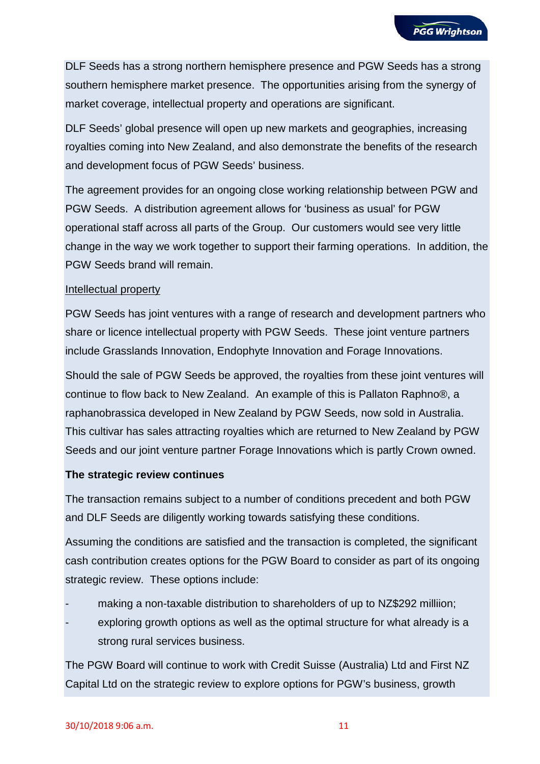DLF Seeds has a strong northern hemisphere presence and PGW Seeds has a strong southern hemisphere market presence. The opportunities arising from the synergy of market coverage, intellectual property and operations are significant.

DLF Seeds' global presence will open up new markets and geographies, increasing royalties coming into New Zealand, and also demonstrate the benefits of the research and development focus of PGW Seeds' business.

The agreement provides for an ongoing close working relationship between PGW and PGW Seeds. A distribution agreement allows for 'business as usual' for PGW operational staff across all parts of the Group. Our customers would see very little change in the way we work together to support their farming operations. In addition, the PGW Seeds brand will remain.

## Intellectual property

PGW Seeds has joint ventures with a range of research and development partners who share or licence intellectual property with PGW Seeds. These joint venture partners include Grasslands Innovation, Endophyte Innovation and Forage Innovations.

Should the sale of PGW Seeds be approved, the royalties from these joint ventures will continue to flow back to New Zealand. An example of this is Pallaton Raphno®, a raphanobrassica developed in New Zealand by PGW Seeds, now sold in Australia. This cultivar has sales attracting royalties which are returned to New Zealand by PGW Seeds and our joint venture partner Forage Innovations which is partly Crown owned.

# **The strategic review continues**

The transaction remains subject to a number of conditions precedent and both PGW and DLF Seeds are diligently working towards satisfying these conditions.

Assuming the conditions are satisfied and the transaction is completed, the significant cash contribution creates options for the PGW Board to consider as part of its ongoing strategic review. These options include:

- making a non-taxable distribution to shareholders of up to NZ\$292 milliion;
- exploring growth options as well as the optimal structure for what already is a strong rural services business.

The PGW Board will continue to work with Credit Suisse (Australia) Ltd and First NZ Capital Ltd on the strategic review to explore options for PGW's business, growth